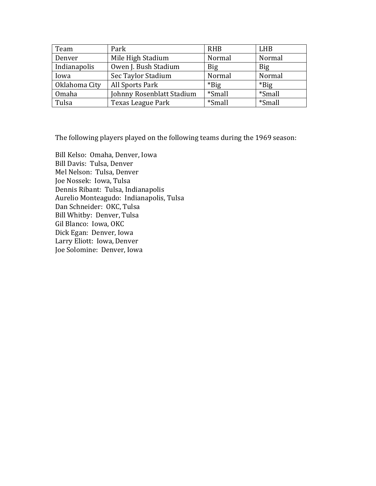| Team          | Park                      | <b>RHB</b> | <b>LHB</b> |
|---------------|---------------------------|------------|------------|
| Denver        | Mile High Stadium         | Normal     | Normal     |
| Indianapolis  | Owen J. Bush Stadium      | <b>Big</b> | <b>Big</b> |
| Iowa          | Sec Taylor Stadium        | Normal     | Normal     |
| Oklahoma City | All Sports Park           | $*$ Big    | $*Big$     |
| Omaha         | Johnny Rosenblatt Stadium | *Small     | *Small     |
| Tulsa         | Texas League Park         | *Small     | *Small     |

The following players played on the following teams during the 1969 season:

Bill Kelso: Omaha, Denver, Iowa Bill Davis: Tulsa, Denver Mel Nelson: Tulsa, Denver Joe Nossek: Iowa, Tulsa Dennis Ribant: Tulsa, Indianapolis Aurelio Monteagudo: Indianapolis, Tulsa Dan Schneider: OKC, Tulsa Bill Whitby: Denver, Tulsa Gil Blanco: Iowa, OKC Dick Egan: Denver, Iowa Larry Eliott: Iowa, Denver Joe Solomine: Denver, Iowa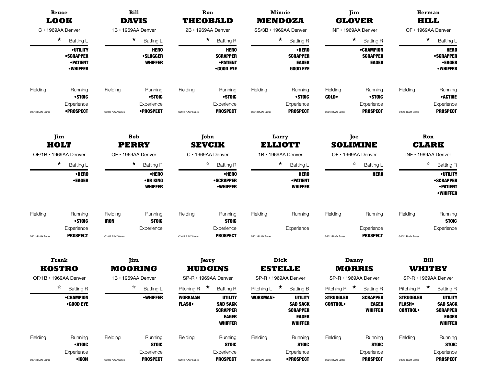|                   | <b>Bruce</b><br><b>LOOK</b><br>C · 1969AA Denver                                           |                         | <b>Bill</b><br><b>DAVIS</b>                                                     |                                | Ron<br><b>THEOBALD</b>                                                                         |                   | <b>Minnie</b>                                                                              |                                    | Jim<br><b>GLOVER</b>                                                        |                                                    | Herman<br><b>HILL</b>                                                                              |
|-------------------|--------------------------------------------------------------------------------------------|-------------------------|---------------------------------------------------------------------------------|--------------------------------|------------------------------------------------------------------------------------------------|-------------------|--------------------------------------------------------------------------------------------|------------------------------------|-----------------------------------------------------------------------------|----------------------------------------------------|----------------------------------------------------------------------------------------------------|
|                   |                                                                                            |                         |                                                                                 |                                |                                                                                                |                   | <b>MENDOZA</b>                                                                             |                                    |                                                                             |                                                    |                                                                                                    |
|                   |                                                                                            |                         | 1B · 1969AA Denver                                                              |                                | 2B · 1969AA Denver                                                                             |                   | SS/3B · 1969AA Denver                                                                      |                                    | INF · 1969AA Denver                                                         |                                                    | OF · 1969AA Denver                                                                                 |
|                   | $\star$<br><b>Batting L</b><br>•UTILITY<br>•SCRAPPER<br><b>•PATIENT</b><br><b>•WHIFFER</b> |                         | $\star$<br><b>Batting L</b><br><b>HERO</b><br><b>•SLUGGER</b><br><b>WHIFFER</b> |                                | $\star$<br><b>Batting R</b><br><b>HERO</b><br><b>SCRAPPER</b><br><b>• PATIENT</b><br>•GOOD EYE |                   | $\star$<br><b>Batting R</b><br>•HERO<br><b>SCRAPPER</b><br><b>EAGER</b><br><b>GOOD EYE</b> |                                    | $\star$<br><b>Batting R</b><br>•CHAMPION<br><b>SCRAPPER</b><br><b>EAGER</b> |                                                    | $\star$<br><b>Batting L</b><br><b>HERO</b><br><b>•SCRAPPER</b><br><b>•EAGER</b><br><b>•WHIFFER</b> |
| Fielding          | Running<br>•STOIC<br>Experience                                                            | Fielding                | Running<br>•STOIC<br>Experience                                                 | Fielding                       | Running<br>•STOIC<br>Experience                                                                | Fielding          | Running<br>•STOIC<br>Experience                                                            | Fielding<br><b>GOLD</b>            | Running<br>•STOIC<br>Experience                                             | Fielding                                           | Running<br><b>•ACTIVE</b><br>Experience                                                            |
| @2013 PLAAY Games | •PROSPECT                                                                                  | @2013 PLAAY Games       | •PROSPECT                                                                       | @2013 PLAAY Games              | <b>PROSPECT</b>                                                                                | @2013 PLAAY Games | <b>PROSPECT</b>                                                                            | @2013 PLAAY Games                  | <b>PROSPECT</b>                                                             | @2013 PLAAY Games                                  | <b>PROSPECT</b>                                                                                    |
|                   | Jim<br>HOLT                                                                                |                         | <b>Bob</b><br><b>PERRY</b>                                                      |                                | John<br><b>SEVCIK</b>                                                                          |                   | Larry<br><b>ELLIOTT</b>                                                                    |                                    | Joe<br><b>SOLIMINE</b>                                                      |                                                    | Ron<br><b>CLARK</b>                                                                                |
|                   | OF/1B · 1969AA Denver                                                                      |                         | OF • 1969AA Denver                                                              |                                | C · 1969AA Denver                                                                              |                   | 1B · 1969AA Denver                                                                         | OF · 1969AA Denver                 |                                                                             | INF · 1969AA Denver                                |                                                                                                    |
|                   | $\star$<br>$\star$<br><b>Batting L</b>                                                     |                         | <b>Batting R</b>                                                                | ☆<br><b>Batting R</b>          |                                                                                                |                   | $\star$<br><b>Batting L</b>                                                                | ☆<br>Batting L                     |                                                                             | ☆<br><b>Batting R</b>                              |                                                                                                    |
|                   | •HERO<br>•EAGER                                                                            |                         | •HERO<br>•HR KING<br><b>WHIFFER</b>                                             |                                | •HERO<br><b>•SCRAPPER</b><br><b>•WHIFFER</b>                                                   |                   | <b>HERO</b><br><b>• PATIENT</b><br><b>WHIFFER</b>                                          |                                    | <b>HERO</b>                                                                 |                                                    | <b>•UTILITY</b><br><b>•SCRAPPER</b><br><b>•PATIENT</b><br><b>•WHIFFER</b>                          |
| Fielding          | Running<br>•STOIC                                                                          | Fielding<br><b>IRON</b> | Running<br><b>STOIC</b>                                                         | Fielding                       | Running<br><b>STOIC</b>                                                                        | Fielding          | Running                                                                                    | Fielding                           | Running                                                                     | Fielding                                           | Running<br><b>STOIC</b>                                                                            |
| @2013 PLAAY Games | Experience<br><b>PROSPECT</b>                                                              | @2013 PLAAY Games       | Experience                                                                      | @2013 PLAAY Games              | Experience<br><b>PROSPECT</b>                                                                  | @2013 PLAAY Games | Experience                                                                                 | @2013 PLAAY Games                  | Experience<br><b>PROSPECT</b>                                               | @2013 PLAAY Games                                  | Experience                                                                                         |
|                   | <b>Frank</b><br><b>KOSTRO</b>                                                              |                         | Jim<br><b>MOORING</b>                                                           |                                | Jerry<br><b>HUDGINS</b>                                                                        |                   | Dick<br><b>ESTELLE</b>                                                                     |                                    | Danny<br><b>MORRIS</b>                                                      |                                                    | <b>Bill</b><br><b>WHITBY</b>                                                                       |
|                   | OF/1B · 1969AA Denver                                                                      |                         | 1B · 1969AA Denver                                                              |                                | SP-R · 1969AA Denver                                                                           |                   | SP-R • 1969AA Denver                                                                       |                                    | SP-R · 1969AA Denver                                                        |                                                    | SP-R · 1969AA Denver                                                                               |
|                   | ☆<br><b>Batting R</b>                                                                      |                         | ☆<br>Batting L                                                                  | Pitching R                     | $\star$<br><b>Batting R</b>                                                                    | Pitching L        | $\star$<br><b>Batting B</b>                                                                | Pitching R $\star$                 | <b>Batting R</b>                                                            | Pitching R                                         | $\star$<br><b>Batting R</b>                                                                        |
|                   | •CHAMPION<br>•GOOD EYE                                                                     |                         | <b>•WHIFFER</b>                                                                 | <b>WORKMAN</b><br><b>FLASH</b> | <b>UTILITY</b><br><b>SAD SACK</b><br><b>SCRAPPER</b><br><b>EAGER</b><br><b>WHIFFER</b>         | <b>WORKMAN</b>    | <b>UTILITY</b><br><b>SAD SACK</b><br><b>SCRAPPER</b><br><b>EAGER</b><br><b>WHIFFER</b>     | <b>STRUGGLER</b><br><b>CONTROL</b> | <b>SCRAPPER</b><br><b>EAGER</b><br><b>WHIFFER</b>                           | <b>STRUGGLER</b><br><b>FLASH</b><br><b>CONTROL</b> | <b>UTILITY</b><br><b>SAD SACK</b><br><b>SCRAPPER</b><br><b>EAGER</b><br><b>WHIFFER</b>             |
| Fielding          | Running<br>•STOIC<br>Experience                                                            | Fielding                | Running<br><b>STOIC</b><br>Experience                                           | Fielding                       | Running<br><b>STOIC</b><br>Experience                                                          | Fielding          | Running<br><b>STOIC</b><br>Experience                                                      | Fielding                           | Running<br><b>STOIC</b><br>Experience                                       | Fielding                                           | Running<br><b>STOIC</b><br>Experience                                                              |
| @2013 PLAAY Games | •ICON                                                                                      | @2013 PLAAY Games       | <b>PROSPECT</b>                                                                 | @2013 PLAAY Games              | <b>PROSPECT</b>                                                                                | @2013 PLAAY Games | <b>•PROSPECT</b>                                                                           | @2013 PLAAY Games                  | <b>PROSPECT</b>                                                             | @2013 PLAAY Games                                  | <b>PROSPECT</b>                                                                                    |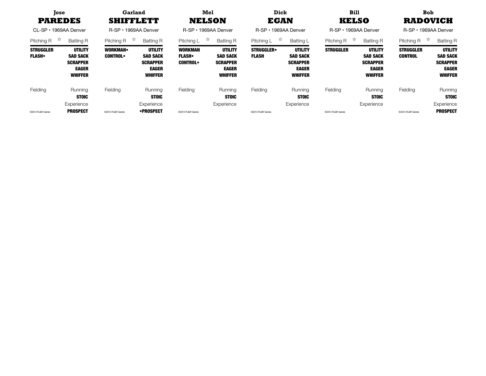| <b>Tose</b><br><b>PAREDES</b><br>CL-SP • 1969AA Denver |                                                                                        | Garland<br><b>SHIFFLETT</b><br>R-SP • 1969AA Denver |                                                                                 |                                                    | Mel<br><b>NELSON</b><br>R-SP · 1969AA Denver                                           |                                  | Dick<br><b>EGAN</b><br>R-SP • 1969AA Denver                                            | <b>Bill</b><br><b>KELSO</b><br>R-SP • 1969AA Denver |                                                                                        | <b>Bob</b><br><b>RADOVICH</b><br>R-SP • 1969AA Denver |                                                                                        |
|--------------------------------------------------------|----------------------------------------------------------------------------------------|-----------------------------------------------------|---------------------------------------------------------------------------------|----------------------------------------------------|----------------------------------------------------------------------------------------|----------------------------------|----------------------------------------------------------------------------------------|-----------------------------------------------------|----------------------------------------------------------------------------------------|-------------------------------------------------------|----------------------------------------------------------------------------------------|
| $\vec{\varkappa}$<br>Pitching R                        | <b>Batting R</b>                                                                       | ☆<br>Pitching R                                     | <b>Batting R</b>                                                                | ☆<br>Pitching L                                    | <b>Batting R</b>                                                                       | ☆<br>Pitching L                  | Batting L                                                                              | $\vec{\varkappa}$<br>Pitching R                     | <b>Batting R</b>                                                                       | 饮<br>Pitching R                                       | <b>Batting R</b>                                                                       |
| <b>STRUGGLER</b><br><b>FLASH</b>                       | <b>UTILITY</b><br><b>SAD SACK</b><br><b>SCRAPPER</b><br><b>EAGER</b><br><b>WHIFFER</b> | <b>WORKMAN</b><br><b>CONTROL</b>                    | UTILITY<br><b>SAD SACK</b><br><b>SCRAPPER</b><br><b>EAGER</b><br><b>WHIFFER</b> | <b>WORKMAN</b><br><b>FLASH</b> •<br><b>CONTROL</b> | <b>UTILITY</b><br><b>SAD SACK</b><br><b>SCRAPPER</b><br><b>EAGER</b><br><b>WHIFFER</b> | <b>STRUGGLER</b><br><b>FLASH</b> | <b>UTILITY</b><br><b>SAD SACK</b><br><b>SCRAPPER</b><br><b>EAGER</b><br><b>WHIFFER</b> | <b>STRUGGLER</b>                                    | <b>UTILITY</b><br><b>SAD SACK</b><br><b>SCRAPPER</b><br><b>EAGER</b><br><b>WHIFFER</b> | <b>STRUGGLER</b><br><b>CONTROL</b>                    | <b>UTILITY</b><br><b>SAD SACK</b><br><b>SCRAPPER</b><br><b>EAGER</b><br><b>WHIFFER</b> |
| Fielding                                               | Running<br><b>STOIC</b>                                                                | Fielding                                            | Running<br><b>STOIC</b>                                                         | Fielding                                           | Runnina<br><b>STOIC</b>                                                                | Fielding                         | Running<br><b>STOIC</b>                                                                | Fielding                                            | Running<br><b>STOIC</b>                                                                | Fielding                                              | Running<br><b>STOIC</b>                                                                |
| ©2013 PLAAY Games                                      | Experience<br><b>PROSPECT</b>                                                          | @2013 PLAAY Games                                   | Experience<br>•PROSPECT                                                         | @2013 PLAAY Games                                  | Experience                                                                             | @2013 PLAAY Games                | Experience                                                                             | ©2013 PLAAY Games                                   | Experience                                                                             | @2013 PLAAY Games                                     | Experience<br><b>PROSPECT</b>                                                          |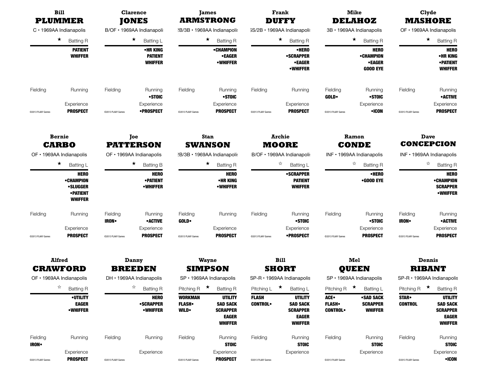|                         | <b>Bill</b><br><b>PLUMMER</b><br>C · 1969AA Indianapolis                         |                                                   | <b>Clarence</b>                                    |                                                 | <b>James</b>                                                                           |                                | Frank                                                                                  |                                        | <b>Mike</b>                                           |                                 | Clyde                                                                                  |
|-------------------------|----------------------------------------------------------------------------------|---------------------------------------------------|----------------------------------------------------|-------------------------------------------------|----------------------------------------------------------------------------------------|--------------------------------|----------------------------------------------------------------------------------------|----------------------------------------|-------------------------------------------------------|---------------------------------|----------------------------------------------------------------------------------------|
|                         |                                                                                  |                                                   | <b>JONES</b>                                       |                                                 | <b>ARMSTRONG</b>                                                                       |                                | <b>DUFFY</b>                                                                           |                                        | <b>DELAHOZ</b>                                        |                                 | <b>MASHORE</b>                                                                         |
|                         |                                                                                  |                                                   | B/OF · 1969AA Indianapoli:                         |                                                 | ?B/3B · 1969AA Indianapoli:                                                            |                                | 3S/2B · 1969AA Indianapoli:                                                            |                                        | 3B · 1969AA Indianapolis                              |                                 | OF • 1969AA Indianapolis                                                               |
|                         | $\star$<br><b>Batting R</b>                                                      |                                                   | $\star$<br>Batting L                               |                                                 | $\star$<br><b>Batting R</b>                                                            |                                | $\star$<br><b>Batting R</b>                                                            |                                        | $\star$<br><b>Batting R</b>                           |                                 | $\star$<br><b>Batting R</b>                                                            |
|                         | <b>PATIENT</b><br><b>WHIFFER</b>                                                 |                                                   | •HR KING<br><b>PATIENT</b><br><b>WHIFFER</b>       |                                                 | <b>•CHAMPION</b><br><b>•EAGER</b><br>•WHIFFER                                          |                                | •HERO<br><b>•SCRAPPER</b><br>•EAGER<br>•WHIFFER                                        |                                        | <b>HERO</b><br>•CHAMPION<br>•EAGER<br><b>GOOD EYE</b> |                                 | <b>HERO</b><br>•HR KING<br><b>•PATIENT</b><br><b>WHIFFER</b>                           |
| Fielding                | Running                                                                          | Fielding                                          | Running<br>•STOIC                                  | Fielding                                        | Running<br>•STOIC                                                                      | Fielding                       | Running                                                                                | Fielding<br><b>GOLD</b>                | Running<br>•STOIC                                     | Fielding                        | Running<br><b>•ACTIVE</b>                                                              |
| @2013 PLAAY Games       | Experience<br><b>PROSPECT</b>                                                    | @2013 PLAAY Games                                 | Experience<br>•PROSPECT                            | @2013 PLAAY Games                               | Experience<br><b>PROSPECT</b>                                                          | @2013 PLAAY Games              | Experience<br><b>PROSPECT</b>                                                          | @2013 PLAAY Games                      | Experience<br>•ICON                                   | @2013 PLAAY Games               | Experience<br><b>PROSPECT</b>                                                          |
|                         | <b>Bernie</b><br><b>CARBO</b>                                                    |                                                   | Joe<br><b>PATTERSON</b>                            |                                                 | <b>Stan</b><br><b>SWANSON</b>                                                          |                                | <b>Archie</b><br><b>MOORE</b>                                                          |                                        | Ramon<br><b>CONDE</b>                                 |                                 | Dave<br><b>CONCEPCION</b>                                                              |
|                         | OF • 1969AA Indianapolis                                                         |                                                   | OF · 1969AA Indianapolis                           |                                                 | 2B/3B · 1969AA Indianapoli:                                                            |                                | IB/OF · 1969AA Indianapoli:                                                            |                                        | INF · 1969AA Indianapolis                             | INF · 1969AA Indianapolis       |                                                                                        |
|                         | $\star$<br>$\star$<br>Batting L                                                  |                                                   | <b>Batting B</b>                                   | $\star$<br><b>Batting R</b>                     |                                                                                        |                                | ☆<br>Batting L                                                                         |                                        | ☆<br><b>Batting R</b>                                 |                                 | ☆<br><b>Batting R</b>                                                                  |
|                         | <b>HERO</b><br>•CHAMPION<br><b>•SLUGGER</b><br><b>•PATIENT</b><br><b>WHIFFER</b> | <b>HERO</b><br><b>•PATIENT</b><br><b>•WHIFFER</b> |                                                    | <b>HERO</b><br>•HR KING<br>•WHIFFER             |                                                                                        |                                | <b>•SCRAPPER</b><br><b>PATIENT</b><br><b>WHIFFER</b>                                   |                                        | •HERO<br>•GOOD EYE                                    |                                 | <b>HERO</b><br>•CHAMPION<br><b>SCRAPPER</b><br><b>•WHIFFER</b>                         |
| Fielding                | Running                                                                          | Fielding<br><b>IRON</b>                           | Running<br><b>•ACTIVE</b>                          | Fielding<br><b>GOLD</b>                         | Running                                                                                | Fielding                       | Running<br>•STOIC                                                                      | Fielding                               | Running<br>•STOIC                                     | Fielding<br><b>IRON</b>         | Running<br><b>•ACTIVE</b>                                                              |
| @2013 PLAAY Games       | Experience<br><b>PROSPECT</b>                                                    | @2013 PLAAY Games                                 | Experience<br><b>PROSPECT</b>                      | @2013 PLAAY Games                               | Experience<br><b>PROSPECT</b>                                                          | @2013 PLAAY Games              | Experience<br>•PROSPECT                                                                | @2013 PLAAY Games                      | Experience<br><b>PROSPECT</b>                         | @2013 PLAAY Games               | Experience<br><b>PROSPECT</b>                                                          |
|                         | <b>Alfred</b>                                                                    |                                                   | Danny                                              |                                                 | Wayne                                                                                  |                                | <b>Bill</b>                                                                            |                                        | Mel                                                   |                                 | Dennis                                                                                 |
|                         | <b>CRAWFORD</b><br>OF • 1969AA Indianapolis                                      |                                                   | <b>BREEDEN</b><br>DH · 1969AA Indianapolis         |                                                 | <b>SIMPSON</b><br>SP · 1969AA Indianapolis                                             |                                | <b>SHORT</b><br>SP-R · 1969AA Indianapolis                                             |                                        | QUEEN<br>SP · 1969AA Indianapolis                     |                                 | <b>RIBANT</b><br>SP-R · 1969AA Indianapolis                                            |
|                         | ☆<br><b>Batting R</b>                                                            |                                                   | ☆<br><b>Batting R</b>                              | Pitching R                                      | $\star$<br><b>Batting R</b>                                                            | Pitching L                     | ★<br>Batting L                                                                         | Pitching R $\star$                     | Batting L                                             | Pitching R                      | $\star$<br><b>Batting R</b>                                                            |
|                         | <b>•UTILITY</b><br><b>EAGER</b><br><b>•WHIFFER</b>                               |                                                   | <b>HERO</b><br><b>•SCRAPPER</b><br><b>•WHIFFER</b> | <b>WORKMAN</b><br><b>FLASH</b><br><b>WILD</b> • | <b>UTILITY</b><br><b>SAD SACK</b><br><b>SCRAPPER</b><br><b>EAGER</b><br><b>WHIFFER</b> | <b>FLASH</b><br><b>CONTROL</b> | <b>UTILITY</b><br><b>SAD SACK</b><br><b>SCRAPPER</b><br><b>EAGER</b><br><b>WHIFFER</b> | ACE.<br><b>FLASH</b><br><b>CONTROL</b> | •SAD SACK<br><b>SCRAPPER</b><br><b>WHIFFER</b>        | <b>STAR</b> .<br><b>CONTROL</b> | <b>UTILITY</b><br><b>SAD SACK</b><br><b>SCRAPPER</b><br><b>EAGER</b><br><b>WHIFFER</b> |
| Fielding<br><b>IRON</b> | Running                                                                          | Fielding                                          | Running                                            | Fielding                                        | Running<br><b>STOIC</b>                                                                | Fielding                       | Running<br><b>STOIC</b>                                                                | Fielding                               | Running<br><b>STOIC</b>                               | Fielding                        | Running<br><b>STOIC</b>                                                                |
| @2013 PLAAY Games       | Experience<br><b>PROSPECT</b>                                                    | @2013 PLAAY Games                                 | Experience                                         | @2013 PLAAY Games                               | Experience<br><b>PROSPECT</b>                                                          | @2013 PLAAY Games              | Experience                                                                             | @2013 PLAAY Games                      | Experience                                            | @2013 PLAAY Games               | Experience<br>•ICON                                                                    |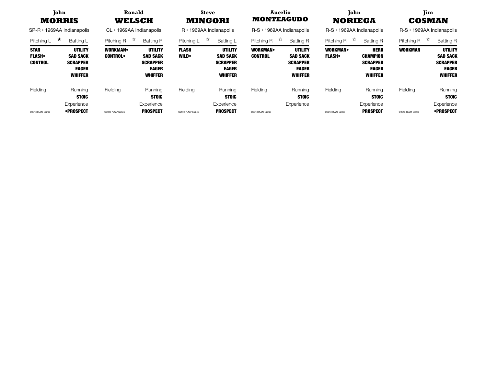|                                               | John<br><b>MORRIS</b><br>$SP-R \cdot 1969AA$ Indianapolis                       | Ronald<br>WELSCH<br>CL · 1969AA Indianapolis |                                                                                 |                               | Steve<br><b>Auerlio</b><br>John<br><b>MONTEAGUDO</b><br><b>MINGORI</b><br><b>NORIEGA</b><br>R-S · 1969AA Indianapolis<br>$R \cdot 1969$ AA Indianapolis<br>$R-S \cdot 1969AA$ Indianapolis |                               | Tim.<br><b>COSMAN</b><br>$R-S \cdot 1969AA$ Indianapolis                               |                                  |                                                                                     |                               |                                                                                        |
|-----------------------------------------------|---------------------------------------------------------------------------------|----------------------------------------------|---------------------------------------------------------------------------------|-------------------------------|--------------------------------------------------------------------------------------------------------------------------------------------------------------------------------------------|-------------------------------|----------------------------------------------------------------------------------------|----------------------------------|-------------------------------------------------------------------------------------|-------------------------------|----------------------------------------------------------------------------------------|
| Pitching L                                    | $\star$<br>Batting L                                                            | ☆<br>Pitching R                              | <b>Batting R</b>                                                                | ☆<br>Pitching L               | <b>Batting L</b>                                                                                                                                                                           | মি<br>Pitching R              | <b>Batting R</b>                                                                       | ☆<br>Pitching R                  | <b>Batting R</b>                                                                    |                               | <b>Batting R</b>                                                                       |
| <b>STAR</b><br><b>FLASH</b><br><b>CONTROL</b> | UTILITY<br><b>SAD SACK</b><br><b>SCRAPPER</b><br><b>EAGER</b><br><b>WHIFFER</b> | <b>WORKMAN</b><br><b>CONTROL</b>             | UTILITY<br><b>SAD SACK</b><br><b>SCRAPPER</b><br><b>EAGER</b><br><b>WHIFFER</b> | <b>FLASH</b><br><b>WILD</b>   | <b>UTILITY</b><br><b>SAD SACK</b><br><b>SCRAPPER</b><br><b>EAGER</b><br><b>WHIFFER</b>                                                                                                     | WORKMAN.<br><b>CONTROL</b>    | <b>UTILITY</b><br><b>SAD SACK</b><br><b>SCRAPPER</b><br><b>EAGER</b><br><b>WHIFFER</b> | <b>WORKMAN</b><br><b>FLASH</b> . | <b>HERO</b><br><b>CHAMPION</b><br><b>SCRAPPER</b><br><b>EAGER</b><br><b>WHIFFER</b> | <b>WORKMAN</b>                | <b>UTILITY</b><br><b>SAD SACK</b><br><b>SCRAPPER</b><br><b>EAGER</b><br><b>WHIFFER</b> |
| Fielding<br>@2013 PLAAY Games                 | Running<br><b>STOIC</b><br>Experience<br>•PROSPECT                              | Fielding<br>@2013 PLAAY Games                | Running<br><b>STOIC</b><br>Experience<br><b>PROSPECT</b>                        | Fielding<br>@2013 PLAAY Games | Running<br><b>STOIC</b><br>Experience<br><b>PROSPECT</b>                                                                                                                                   | Fielding<br>@2013 PLAAY Games | Running<br><b>STOIC</b><br>Experience                                                  | Fielding<br>@2013 PLAAY Games    | Running<br><b>STOIC</b><br>Experience<br><b>PROSPECT</b>                            | Fielding<br>@2013 PLAAY Games | Running<br><b>STOIC</b><br>Experience<br>•PROSPECT                                     |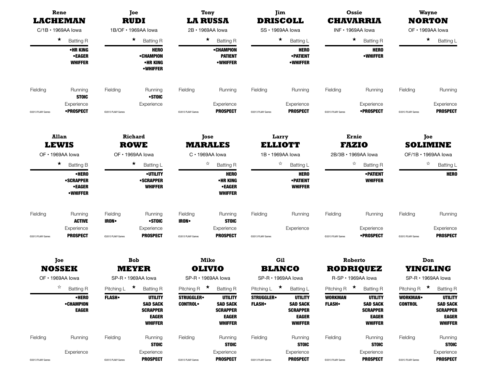| Rene<br><b>LACHEMAN</b><br>$C/1B \cdot 1969AA$ lowa |                                                                                             |                         | Joe<br><b>RUDI</b>                                                                     | <b>LA RUSSA</b>                    | <b>Tony</b>                                                                            |                                    | Jim<br><b>DRISCOLL</b>                                                                 |                                | Ossie<br><b>CHAVARRIA</b>                                                              |                                  | <b>Wayne</b><br><b>NORTON</b>                                                          |
|-----------------------------------------------------|---------------------------------------------------------------------------------------------|-------------------------|----------------------------------------------------------------------------------------|------------------------------------|----------------------------------------------------------------------------------------|------------------------------------|----------------------------------------------------------------------------------------|--------------------------------|----------------------------------------------------------------------------------------|----------------------------------|----------------------------------------------------------------------------------------|
| $\star$<br><b>Batting R</b><br>•HR KING             |                                                                                             | 1B/OF · 1969AA lowa     |                                                                                        | 2B · 1969AA lowa                   |                                                                                        | SS · 1969AA lowa                   |                                                                                        | INF · 1969AA lowa              |                                                                                        | OF · 1969AA lowa                 |                                                                                        |
|                                                     |                                                                                             |                         | $\star$<br><b>Batting R</b>                                                            |                                    | $\star$<br><b>Batting R</b>                                                            |                                    | $\star$<br>Batting L                                                                   |                                | $\star$ Batting R                                                                      |                                  | $\star$<br><b>Batting L</b>                                                            |
|                                                     | •EAGER<br><b>WHIFFER</b>                                                                    |                         | <b>HERO</b><br><b>•CHAMPION</b><br>•HR KING<br><b>•WHIFFER</b>                         |                                    | <b>•CHAMPION</b><br><b>PATIENT</b><br><b>•WHIFFER</b>                                  |                                    | <b>HERO</b><br><b>• PATIENT</b><br><b>•WHIFFER</b>                                     |                                | <b>HERO</b><br><b>•WHIFFER</b>                                                         |                                  |                                                                                        |
| Fielding                                            | Running<br><b>STOIC</b>                                                                     | Fielding                | Running<br>•STOIC                                                                      | Fielding                           | Running                                                                                | Fielding                           | Running                                                                                | Fielding                       | Running                                                                                | Fielding                         | Running                                                                                |
| @2013 PLAAY Games                                   | Experience<br><b>•PROSPECT</b>                                                              | @2013 PLAAY Games       | Experience                                                                             | @2013 PLAAY Games                  | Experience<br><b>PROSPECT</b>                                                          | @2013 PLAAY Games                  | Experience<br><b>PROSPECT</b>                                                          | @2013 PLAAY Games              | Experience<br><b>•PROSPECT</b>                                                         | @2013 PLAAY Games                | Experience<br><b>PROSPECT</b>                                                          |
|                                                     | <b>Allan</b>                                                                                |                         | <b>Richard</b>                                                                         |                                    | Jose                                                                                   |                                    | Larry                                                                                  |                                | Ernie                                                                                  |                                  | Joe                                                                                    |
|                                                     | <b>LEWIS</b>                                                                                |                         | <b>ROWE</b>                                                                            |                                    | <b>MARALES</b><br>C · 1969AA lowa                                                      |                                    | <b>ELLIOTT</b><br>1B · 1969AA lowa                                                     |                                | <b>FAZIO</b><br>2B/3B · 1969AA lowa                                                    |                                  | <b>SOLIMINE</b><br>OF/1B · 1969AA lowa                                                 |
|                                                     | OF · 1969AA lowa<br>OF · 1969AA lowa<br>$\star$<br>$\star$<br><b>Batting B</b><br>Batting L |                         |                                                                                        |                                    | ☆<br><b>Batting R</b>                                                                  |                                    | ☆<br>Batting L                                                                         |                                | ☆<br><b>Batting R</b>                                                                  |                                  | ☆<br>Batting L                                                                         |
|                                                     | •HERO<br><b>•SCRAPPER</b><br><b>•EAGER</b><br><b>•WHIFFER</b>                               |                         | <b>•UTILITY</b><br><b>•SCRAPPER</b><br><b>WHIFFER</b>                                  |                                    | <b>HERO</b><br>•HR KING<br><b>•EAGER</b><br><b>WHIFFER</b>                             |                                    | <b>HERO</b><br><b>• PATIENT</b><br><b>WHIFFER</b>                                      |                                | <b>• PATIENT</b><br><b>WHIFFER</b>                                                     |                                  | <b>HERO</b>                                                                            |
| Fielding                                            | Running<br><b>ACTIVE</b>                                                                    | Fielding<br><b>IRON</b> | Running<br>•STOIC                                                                      | Fielding<br><b>IRON</b> •          | Running<br><b>STOIC</b>                                                                | Fielding                           | Running                                                                                | Fielding                       | Running                                                                                | Fielding                         | Running                                                                                |
| @2013 PLAAY Games                                   | Experience<br><b>PROSPECT</b>                                                               | @2013 PLAAY Games       | Experience<br><b>PROSPECT</b>                                                          | @2013 PLAAY Games                  | Experience<br><b>PROSPECT</b>                                                          | @2013 PLAAY Games                  | Experience                                                                             | @2013 PLAAY Games              | Experience<br>•PROSPECT                                                                | @2013 PLAAY Games                | Experience<br><b>PROSPECT</b>                                                          |
|                                                     | Joe                                                                                         |                         | <b>Bob</b>                                                                             |                                    | <b>Mike</b>                                                                            |                                    | Gil                                                                                    |                                | Roberto                                                                                |                                  | Don                                                                                    |
|                                                     | <b>NOSSEK</b><br>OF • 1969AA lowa                                                           |                         | <b>MEYER</b><br>SP-R · 1969AA lowa                                                     |                                    | <b>OLIVIO</b><br>SP-R · 1969AA lowa                                                    |                                    | <b>BLANCO</b><br>SP-R · 1969AA lowa                                                    |                                | <b>RODRIQUEZ</b><br>R-SP · 1969AA lowa                                                 |                                  | <b>YINGLING</b><br>SP-R · 1969AA lowa                                                  |
|                                                     | ☆<br><b>Batting R</b>                                                                       | Pitching L              | $\star$<br><b>Batting R</b>                                                            | $\star$<br>Pitching R              | <b>Batting R</b>                                                                       | ★<br>Pitching L                    | Batting L                                                                              | Pitching R $\star$             | <b>Batting R</b>                                                                       | Pitching R $\star$               | <b>Batting R</b>                                                                       |
|                                                     | •HERO<br><b>•CHAMPION</b><br><b>EAGER</b>                                                   | <b>FLASH</b>            | <b>UTILITY</b><br><b>SAD SACK</b><br><b>SCRAPPER</b><br><b>EAGER</b><br><b>WHIFFER</b> | <b>STRUGGLER</b><br><b>CONTROL</b> | <b>UTILITY</b><br><b>SAD SACK</b><br><b>SCRAPPER</b><br><b>EAGER</b><br><b>WHIFFER</b> | <b>STRUGGLER</b><br><b>FLASH</b> • | <b>UTILITY</b><br><b>SAD SACK</b><br><b>SCRAPPER</b><br><b>EAGER</b><br><b>WHIFFER</b> | <b>WORKMAN</b><br><b>FLASH</b> | <b>UTILITY</b><br><b>SAD SACK</b><br><b>SCRAPPER</b><br><b>EAGER</b><br><b>WHIFFER</b> | <b>WORKMAN</b><br><b>CONTROL</b> | <b>UTILITY</b><br><b>SAD SACK</b><br><b>SCRAPPER</b><br><b>EAGER</b><br><b>WHIFFER</b> |
| Fielding                                            | Running                                                                                     | Fielding                | Running<br><b>STOIC</b>                                                                | Fielding                           | Running<br><b>STOIC</b>                                                                | Fielding                           | Running<br><b>STOIC</b>                                                                | Fielding                       | Running<br><b>STOIC</b>                                                                | Fielding                         | Running<br><b>STOIC</b>                                                                |
| @2013 PLAAY Games                                   | Experience                                                                                  | @2013 PLAAY Games       | Experience<br><b>PROSPECT</b>                                                          | @2013 PLAAY Games                  | Experience<br><b>PROSPECT</b>                                                          | @2013 PLAAY Games                  | Experience<br><b>PROSPECT</b>                                                          | @2013 PLAAY Games              | Experience<br><b>PROSPECT</b>                                                          | @2013 PLAAY Games                | Experience<br><b>PROSPECT</b>                                                          |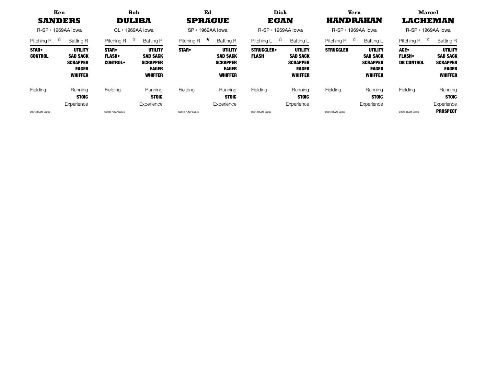| Ken<br><b>SANDERS</b><br>$R$ -SP $\cdot$ 1969AA lowa |                                                                                        | <b>Bob</b><br><b>DULIBA</b><br>$CL \cdot 1969AA$ lowa |                                                                                        | Ed<br><b>SPRAGUE</b><br>$SP \cdot 1969AA$ lowa |                                                                                        | Dick<br><b>EGAN</b><br>$R$ -SP $\cdot$ 1969AA lowa |                                                                                        | Vern<br>HANDRAHAN<br>$R$ -SP $\cdot$ 1969AA lowa |                                                                                 | <b>Marcel</b><br><b>LACHEMAN</b><br>$R$ -SP $\cdot$ 1969AA lowa |                                                                                        |
|------------------------------------------------------|----------------------------------------------------------------------------------------|-------------------------------------------------------|----------------------------------------------------------------------------------------|------------------------------------------------|----------------------------------------------------------------------------------------|----------------------------------------------------|----------------------------------------------------------------------------------------|--------------------------------------------------|---------------------------------------------------------------------------------|-----------------------------------------------------------------|----------------------------------------------------------------------------------------|
| ☆<br>Pitching R                                      | <b>Batting R</b>                                                                       | ☆<br>Pitching R                                       | Batting R                                                                              | ★<br>Pitching R                                | <b>Batting R</b>                                                                       | ☆<br>Pitching L                                    | Batting L                                                                              | 交<br>Pitching R                                  | <b>Batting L</b>                                                                | ☆<br>Pitching R                                                 | <b>Batting R</b>                                                                       |
| <b>STAR</b> •<br><b>CONTROL</b>                      | <b>UTILITY</b><br><b>SAD SACK</b><br><b>SCRAPPER</b><br><b>EAGER</b><br><b>WHIFFER</b> | <b>STAR</b> •<br><b>FLASH</b> .<br><b>CONTROL•</b>    | <b>UTILITY</b><br><b>SAD SACK</b><br><b>SCRAPPER</b><br><b>EAGER</b><br><b>WHIFFER</b> | <b>STAR</b> .                                  | <b>UTILITY</b><br><b>SAD SACK</b><br><b>SCRAPPER</b><br><b>EAGER</b><br><b>WHIFFER</b> | <b>STRUGGLER</b><br><b>FLASH</b>                   | <b>UTILITY</b><br><b>SAD SACK</b><br><b>SCRAPPER</b><br><b>EAGER</b><br><b>WHIFFER</b> | <b>STRUGGLER</b>                                 | UTILITY<br><b>SAD SACK</b><br><b>SCRAPPER</b><br><b>EAGER</b><br><b>WHIFFER</b> | ACE.<br><b>FLASH</b> .<br><b>DB CONTROL</b>                     | <b>UTILITY</b><br><b>SAD SACK</b><br><b>SCRAPPER</b><br><b>EAGER</b><br><b>WHIFFER</b> |
| Fielding                                             | Running<br><b>STOIC</b>                                                                | Fielding                                              | Running<br><b>STOIC</b>                                                                | Fielding                                       | Running<br><b>STOIC</b>                                                                | Fielding                                           | Running<br><b>STOIC</b>                                                                | Fielding                                         | Running<br><b>STOIC</b>                                                         | Fielding                                                        | Running<br><b>STOIC</b>                                                                |
|                                                      | Experience                                                                             |                                                       | Experience                                                                             |                                                | Experience                                                                             |                                                    | Experience                                                                             |                                                  | Experience                                                                      |                                                                 | Experience                                                                             |
| C2013 PLAAY Games                                    |                                                                                        | ©2013 PLAAY Games                                     |                                                                                        | @2013 PLAAY Games                              |                                                                                        | @2013 PLAAY Games                                  |                                                                                        | ©2013 PLAAY Games                                |                                                                                 | @2013 PLAAY Games                                               | <b>PROSPECT</b>                                                                        |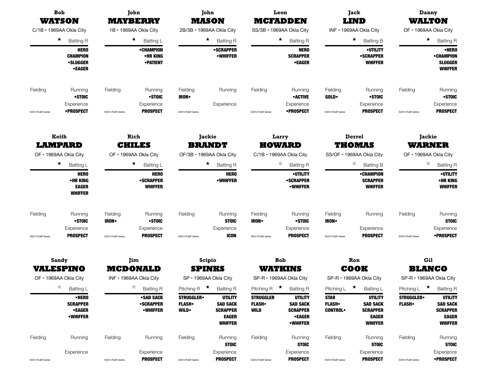|                   | <b>Bob</b><br>WATSON                                                              |                                  | John<br><b>MAYBERRY</b>                                        | <b>MASON</b>                                                  | John                                                                                   |                                                   | Leon<br><b>MCFADDEN</b>                                                                  |                                               | Jack<br><b>LIND</b>                                                                    |                                  | Danny<br>WALTON                                                                        |
|-------------------|-----------------------------------------------------------------------------------|----------------------------------|----------------------------------------------------------------|---------------------------------------------------------------|----------------------------------------------------------------------------------------|---------------------------------------------------|------------------------------------------------------------------------------------------|-----------------------------------------------|----------------------------------------------------------------------------------------|----------------------------------|----------------------------------------------------------------------------------------|
|                   | C/1B · 1969AA Okla City                                                           |                                  | 1B · 1969AA Okla City                                          | 2B/3B · 1969AA Okla City                                      |                                                                                        |                                                   | SS/3B · 1969AA Okla City                                                                 |                                               | INF · 1969AA Okla City                                                                 |                                  | OF · 1969AA Okla City                                                                  |
|                   | $\star$<br><b>Batting R</b>                                                       |                                  | $\star$<br>Batting L                                           |                                                               | $\star$<br><b>Batting R</b>                                                            |                                                   | $\star$<br><b>Batting R</b>                                                              |                                               | $\star$<br><b>Batting B</b>                                                            |                                  | $\star$<br><b>Batting R</b>                                                            |
|                   | <b>HERO</b><br><b>CHAMPION</b><br><b>•SLUGGER</b><br><b>•EAGER</b>                |                                  | •CHAMPION<br>•HR KING<br><b>•PATIENT</b>                       |                                                               | <b>•SCRAPPER</b><br><b>•WHIFFER</b>                                                    |                                                   | <b>HERO</b><br><b>SCRAPPER</b><br><b>•EAGER</b>                                          |                                               | <b>•UTILITY</b><br>•SCRAPPER<br><b>WHIFFER</b>                                         |                                  | •HERO<br><b>•CHAMPION</b><br><b>SLUGGER</b><br><b>WHIFFER</b>                          |
| Fielding          | Running<br>•STOIC                                                                 | Fielding                         | Running<br>•STOIC                                              | Fielding<br><b>IRON</b>                                       | Running                                                                                | Fielding                                          | Running<br>• ACTIVE                                                                      | Fielding<br><b>GOLD</b>                       | Running<br>•STOIC                                                                      | Fielding                         | Running<br>•STOIC                                                                      |
| @2013 PLAAY Games | Experience<br><b>•PROSPECT</b>                                                    | @2013 PLAAY Games                | Experience<br><b>PROSPECT</b>                                  | @2013 PLAAY Games                                             | Experience                                                                             | @2013 PLAAY Games                                 | Experience<br><b>•PROSPECT</b>                                                           | @2013 PLAAY Games                             | Experience<br><b>PROSPECT</b>                                                          | @2013 PLAAY Games                | Experience<br><b>PROSPECT</b>                                                          |
|                   | Keith<br><b>LAMPARD</b>                                                           |                                  | Rich<br><b>CHILES</b>                                          | <b>Jackie</b><br><b>BRANDT</b>                                |                                                                                        |                                                   | Larry<br><b>HOWARD</b>                                                                   |                                               | Derrel<br><b>THOMAS</b>                                                                |                                  | Jackie<br><b>WARNER</b>                                                                |
|                   | OF · 1969AA Okla City                                                             | OF · 1969AA Okla City<br>$\star$ |                                                                | OF/3B · 1969AA Okla City                                      |                                                                                        |                                                   | C/1B · 1969AA Okla City                                                                  |                                               | SS/OF · 1969AA Okla City                                                               | OF · 1969AA Okla City            |                                                                                        |
|                   | $\star$<br>Batting L<br><b>HERO</b><br>•HR KING<br><b>EAGER</b><br><b>WHIFFER</b> |                                  | Batting L<br><b>HERO</b><br><b>•SCRAPPER</b><br><b>WHIFFER</b> | $\star$<br><b>Batting R</b><br><b>HERO</b><br><b>•WHIFFER</b> |                                                                                        |                                                   | ☆<br><b>Batting R</b><br><b>•UTILITY</b><br><b>•SCRAPPER</b><br><b>•WHIFFER</b>          |                                               | ☆<br><b>Batting B</b><br>•CHAMPION<br><b>SCRAPPER</b><br><b>WHIFFER</b>                |                                  | ☆<br><b>Batting R</b><br><b>•UTILITY</b><br>•HR KING<br><b>WHIFFER</b>                 |
| Fielding          | Running<br>•STOIC<br>Experience                                                   | Fielding<br><b>IRON</b>          | Running<br>•STOIC<br>Experience                                | Fielding                                                      | Running<br><b>STOIC</b><br>Experience                                                  | Fielding<br><b>IRON</b>                           | Running<br>•STOIC<br>Experience                                                          | Fielding<br><b>IRON</b>                       | Running<br>Experience                                                                  | Fielding                         | Running<br><b>STOIC</b><br>Experience                                                  |
| @2013 PLAAY Games | <b>PROSPECT</b>                                                                   | @2013 PLAAY Games                | <b>PROSPECT</b>                                                | @2013 PLAAY Games                                             | <b>ICON</b>                                                                            | @2013 PLAAY Games                                 | <b>PROSPECT</b>                                                                          | @2013 PLAAY Games                             | <b>PROSPECT</b>                                                                        | @2013 PLAAY Games                | •PROSPECT                                                                              |
|                   | Sandy<br><b>VALESPINO</b><br>OF • 1969AA Okla City                                |                                  | Jim<br><b>MCDONALD</b><br>INF · 1969AA Okla City               | <b>SPINKS</b>                                                 | Scipio<br>SP · 1969AA Okla City                                                        |                                                   | <b>Bob</b><br>WATKINS<br>SP-R · 1969AA Okla City                                         |                                               | Ron<br>COOK<br>SP-R • 1969AA Okla City                                                 |                                  | Gil<br><b>BLANCO</b><br>SP-R · 1969AA Okla City                                        |
|                   | ☆<br>Batting L                                                                    |                                  | ☆<br><b>Batting R</b>                                          | $\star$<br>Pitching R                                         | <b>Batting R</b>                                                                       | $\star$<br>Pitching R                             | <b>Batting R</b>                                                                         | Pitching $L \star$                            | Batting L                                                                              | Pitching L                       | ★<br><b>Batting R</b>                                                                  |
|                   | •HERO<br><b>SCRAPPER</b><br><b>•EAGER</b><br><b>•WHIFFER</b>                      |                                  | <b>•SAD SACK</b><br><b>•SCRAPPER</b><br><b>•WHIFFER</b>        | <b>STRUGGLER</b><br><b>FLASH</b><br><b>WILD</b>               | <b>UTILITY</b><br><b>SAD SACK</b><br><b>SCRAPPER</b><br><b>EAGER</b><br><b>WHIFFER</b> | <b>STRUGGLER</b><br><b>FLASH</b> •<br><b>WILD</b> | <b>UTILITY</b><br><b>SAD SACK</b><br><b>SCRAPPER</b><br><b>•EAGER</b><br><b>•WHIFFER</b> | <b>STAR</b><br><b>FLASH</b><br><b>CONTROL</b> | <b>UTILITY</b><br><b>SAD SACK</b><br><b>SCRAPPER</b><br><b>EAGER</b><br><b>WHIFFER</b> | <b>STRUGGLER</b><br><b>FLASH</b> | <b>UTILITY</b><br><b>SAD SACK</b><br><b>SCRAPPER</b><br><b>EAGER</b><br><b>WHIFFER</b> |
| Fielding          | Running                                                                           | Fielding                         | Running                                                        | Fielding                                                      | Running<br><b>STOIC</b>                                                                | Fielding                                          | Running<br><b>STOIC</b>                                                                  | Fielding                                      | Running<br><b>STOIC</b>                                                                | Fielding                         | Running<br><b>STOIC</b>                                                                |
| @2013 PLAAY Games | Experience                                                                        | @2013 PLAAY Games                | Experience<br><b>PROSPECT</b>                                  | @2013 PLAAY Games                                             | Experience<br><b>PROSPECT</b>                                                          | @2013 PLAAY Games                                 | Experience<br><b>PROSPECT</b>                                                            | @2013 PLAAY Games                             | Experience<br><b>PROSPECT</b>                                                          | @2013 PLAAY Games                | Experience<br><b>•PROSPECT</b>                                                         |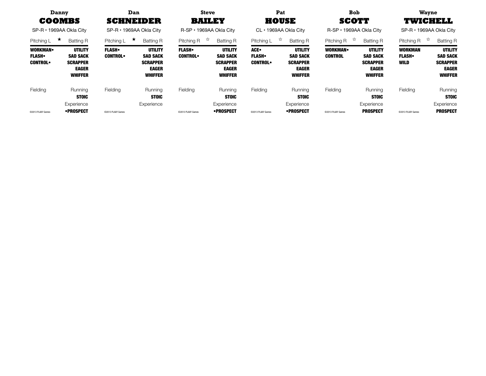| Danny<br><b>COOMBS</b><br>SP-R • 1969AA Okla City |                                                                                        | Dan<br><b>SCHNEIDER</b><br>SP-R • 1969AA Okla City |                                                                                        | <b>Steve</b><br><b>BAILEY</b><br>R-SP • 1969AA Okla City |                                                                                        | Pat<br><b>HOUSE</b><br>CL • 1969AA Okla City |                                                                                        | <b>Bob</b><br><b>SCOTT</b><br>R-SP • 1969AA Okla City |                                                                                        | <b>Wayne</b><br><b>TWICHELL</b><br>$SP-R \cdot 1969AA$ Okla City |                                                                                        |
|---------------------------------------------------|----------------------------------------------------------------------------------------|----------------------------------------------------|----------------------------------------------------------------------------------------|----------------------------------------------------------|----------------------------------------------------------------------------------------|----------------------------------------------|----------------------------------------------------------------------------------------|-------------------------------------------------------|----------------------------------------------------------------------------------------|------------------------------------------------------------------|----------------------------------------------------------------------------------------|
| $\star$<br>Pitching L                             | <b>Batting R</b>                                                                       | ★<br>Pitching L                                    | <b>Batting R</b>                                                                       | ☆<br>Pitching R                                          | <b>Batting R</b>                                                                       | ☆<br>Pitching L                              | <b>Batting R</b>                                                                       | - 73<br>Pitching R                                    | <b>Batting R</b>                                                                       | 77<br>Pitching R                                                 | <b>Batting R</b>                                                                       |
| <b>WORKMAN</b><br><b>FLASH</b><br><b>CONTROL•</b> | <b>UTILITY</b><br><b>SAD SACK</b><br><b>SCRAPPER</b><br><b>EAGER</b><br><b>WHIFFER</b> | <b>FLASH</b><br><b>CONTROL</b>                     | <b>UTILITY</b><br><b>SAD SACK</b><br><b>SCRAPPER</b><br><b>EAGER</b><br><b>WHIFFER</b> | <b>FLASH</b> .<br><b>CONTROL</b>                         | <b>UTILITY</b><br><b>SAD SACK</b><br><b>SCRAPPER</b><br><b>EAGER</b><br><b>WHIFFER</b> | ACE.<br><b>FLASH</b><br><b>CONTROL</b>       | <b>UTILITY</b><br><b>SAD SACK</b><br><b>SCRAPPER</b><br><b>EAGER</b><br><b>WHIFFER</b> | WORKMAN.<br><b>CONTROL</b>                            | <b>UTILITY</b><br><b>SAD SACK</b><br><b>SCRAPPER</b><br><b>EAGER</b><br><b>WHIFFER</b> | <b>WORKMAN</b><br><b>FLASH</b><br><b>WILD</b>                    | <b>UTILITY</b><br><b>SAD SACK</b><br><b>SCRAPPER</b><br><b>EAGER</b><br><b>WHIFFER</b> |
| Fielding                                          | Running<br><b>STOIC</b><br>Experience                                                  | Fielding                                           | Running<br><b>STOIC</b><br>Experience                                                  | Fielding                                                 | Running<br><b>STOIC</b><br>Experience                                                  | Fielding                                     | Running<br><b>STOIC</b><br>Experience                                                  | Fielding                                              | Running<br><b>STOIC</b><br>Experience                                                  | Fielding                                                         | Running<br><b>STOIC</b><br>Experience                                                  |
| @2013 PLAAY Games                                 | •PROSPECT                                                                              | @2013 PLAAY Games                                  |                                                                                        | ©2013 PLAAY Games                                        | •PROSPECT                                                                              | @2013 PLAAY Games                            | •PROSPECT                                                                              | @2013 PLAAY Games                                     | <b>PROSPECT</b>                                                                        | @2013 PLAAY Games                                                | <b>PROSPECT</b>                                                                        |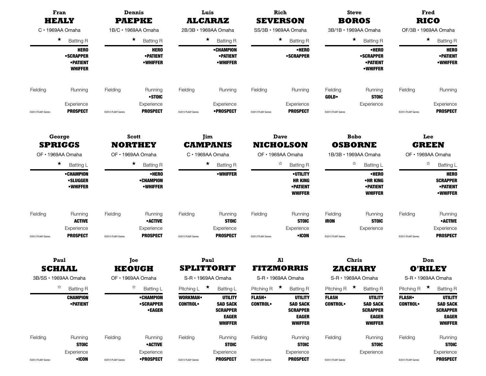|                   | Fran<br><b>HEALY</b><br>$C \cdot 1969AA$ Omaha        |                             | Dennis<br><b>PAEPKE</b>                               |                                  | Luis<br><b>ALCARAZ</b>                                                                 |                                | Rich<br><b>SEVERSON</b>                                                                |                                | <b>Steve</b><br><b>BOROS</b>                                                           |                                | Fred<br><b>RICO</b>                                                                    |
|-------------------|-------------------------------------------------------|-----------------------------|-------------------------------------------------------|----------------------------------|----------------------------------------------------------------------------------------|--------------------------------|----------------------------------------------------------------------------------------|--------------------------------|----------------------------------------------------------------------------------------|--------------------------------|----------------------------------------------------------------------------------------|
|                   | $\star$<br><b>Batting R</b><br><b>HERO</b>            |                             | 1B/C · 1969AA Omaha                                   |                                  | 2B/3B · 1969AA Omaha                                                                   |                                | SS/3B · 1969AA Omaha                                                                   |                                | 3B/1B · 1969AA Omaha                                                                   |                                | OF/3B · 1969AA Omaha                                                                   |
|                   |                                                       |                             | $\star$<br><b>Batting R</b>                           |                                  | $\star$<br><b>Batting R</b>                                                            |                                | $\star$<br><b>Batting R</b>                                                            |                                | $\star$<br><b>Batting R</b>                                                            |                                | $\star$<br><b>Batting R</b>                                                            |
|                   | <b>•SCRAPPER</b><br><b>•PATIENT</b><br><b>WHIFFER</b> |                             | <b>HERO</b><br><b>•PATIENT</b><br><b>•WHIFFER</b>     |                                  | •CHAMPION<br><b>• PATIENT</b><br><b>•WHIFFER</b>                                       |                                | •HERO<br>•SCRAPPER                                                                     |                                | •HERO<br><b>•SCRAPPER</b><br><b>• PATIENT</b><br><b>•WHIFFER</b>                       |                                | <b>HERO</b><br><b>•PATIENT</b><br><b>•WHIFFER</b>                                      |
| Fielding          | Running                                               | Fielding                    | Running<br>•STOIC                                     | Fielding                         | Running                                                                                | Fielding                       | Running                                                                                | Fielding<br><b>GOLD</b>        | Running<br><b>STOIC</b>                                                                | Fielding                       | Running                                                                                |
| @2013 PLAAY Games | Experience<br><b>PROSPECT</b>                         | @2013 PLAAY Games           | Experience<br><b>PROSPECT</b>                         | @2013 PLAAY Games                | Experience<br>•PROSPECT                                                                | @2013 PLAAY Games              | Experience<br><b>PROSPECT</b>                                                          | @2013 PLAAY Games              | Experience                                                                             | @2013 PLAAY Games              | Experience<br><b>PROSPECT</b>                                                          |
|                   | George                                                |                             | Scott                                                 |                                  | Jim                                                                                    |                                | <b>Dave</b>                                                                            |                                | <b>Bobo</b>                                                                            |                                | Lee                                                                                    |
|                   | <b>SPRIGGS</b><br>OF · 1969AA Omaha                   |                             | <b>NORTHEY</b><br>OF · 1969AA Omaha                   |                                  | <b>CAMPANIS</b><br>C · 1969AA Omaha                                                    |                                | <b>NICHOLSON</b><br>OF · 1969AA Omaha                                                  |                                | <b>OSBORNE</b><br>1B/3B · 1969AA Omaha                                                 |                                | <b>GREEN</b><br>OF · 1969AA Omaha                                                      |
|                   | $\star$<br>Batting L                                  | $\star$<br><b>Batting R</b> |                                                       |                                  | $\star$<br><b>Batting R</b>                                                            |                                | ☆<br><b>Batting R</b>                                                                  |                                | ☆<br>Batting L                                                                         |                                | ☆<br>Batting L                                                                         |
|                   | •CHAMPION<br><b>•SLUGGER</b><br><b>•WHIFFER</b>       |                             | •HERO<br>•CHAMPION<br><b>•WHIFFER</b>                 |                                  | <b>•WHIFFER</b>                                                                        |                                | <b>•UTILITY</b><br><b>HR KING</b><br><b>•PATIENT</b><br><b>WHIFFER</b>                 |                                | •HERO<br>•HR KING<br><b>• PATIENT</b><br><b>WHIFFER</b>                                |                                | <b>HERO</b><br><b>SCRAPPER</b><br><b>• PATIENT</b><br><b>•WHIFFER</b>                  |
| Fielding          | Running<br><b>ACTIVE</b>                              | Fielding                    | Running<br><b>•ACTIVE</b>                             | Fielding                         | Running<br><b>STOIC</b>                                                                | Fielding                       | Running<br><b>STOIC</b>                                                                | Fielding<br><b>IRON</b>        | Running<br><b>STOIC</b>                                                                | Fielding                       | Running<br><b>•ACTIVE</b>                                                              |
| @2013 PLAAY Games | Experience<br><b>PROSPECT</b>                         | @2013 PLAAY Games           | Experience<br><b>PROSPECT</b>                         | @2013 PLAAY Games                | Experience<br><b>PROSPECT</b>                                                          | @2013 PLAAY Games              | Experience<br>•ICON                                                                    | @2013 PLAAY Games              | Experience                                                                             | @2013 PLAAY Games              | Experience<br><b>PROSPECT</b>                                                          |
|                   | Paul                                                  |                             | Joe                                                   |                                  | Paul                                                                                   |                                | Al                                                                                     |                                | <b>Chris</b>                                                                           |                                | Don                                                                                    |
|                   | <b>SCHAAL</b><br>3B/SS · 1969AA Omaha                 |                             | <b>KEOUGH</b><br>OF • 1969AA Omaha                    |                                  | <b>SPLITTORFF</b><br>S-R · 1969AA Omaha                                                |                                | <b>FITZMORRIS</b><br>S-R · 1969AA Omaha                                                |                                | <b>ZACHARY</b><br>S-R · 1969AA Omaha                                                   |                                | <b>O'RILEY</b><br>S-R · 1969AA Omaha                                                   |
|                   | ☆<br><b>Batting R</b>                                 |                             | ☆<br>Batting L                                        | Pitching L                       | $\star$<br>Batting L                                                                   | Pitching R $\star$             | <b>Batting R</b>                                                                       | Pitching R $\star$             | <b>Batting R</b>                                                                       | Pitching R                     | $\star$<br><b>Batting R</b>                                                            |
|                   | <b>CHAMPION</b><br><b>•PATIENT</b>                    |                             | <b>•CHAMPION</b><br><b>•SCRAPPER</b><br><b>•EAGER</b> | <b>WORKMAN</b><br><b>CONTROL</b> | <b>UTILITY</b><br><b>SAD SACK</b><br><b>SCRAPPER</b><br><b>EAGER</b><br><b>WHIFFER</b> | <b>FLASH</b><br><b>CONTROL</b> | <b>UTILITY</b><br><b>SAD SACK</b><br><b>SCRAPPER</b><br><b>EAGER</b><br><b>WHIFFER</b> | <b>FLASH</b><br><b>CONTROL</b> | <b>UTILITY</b><br><b>SAD SACK</b><br><b>SCRAPPER</b><br><b>EAGER</b><br><b>WHIFFER</b> | <b>FLASH</b><br><b>CONTROL</b> | <b>UTILITY</b><br><b>SAD SACK</b><br><b>SCRAPPER</b><br><b>EAGER</b><br><b>WHIFFER</b> |
| Fielding          | Running<br><b>STOIC</b>                               | Fielding                    | Running<br><b>•ACTIVE</b>                             | Fielding                         | Running<br><b>STOIC</b>                                                                | Fielding                       | Running<br><b>STOIC</b>                                                                | Fielding                       | Running<br><b>STOIC</b>                                                                | Fielding                       | Running<br><b>STOIC</b>                                                                |
| @2013 PLAAY Games | Experience<br>$\bullet$ ICON                          | @2013 PLAAY Games           | Experience<br><b>•PROSPECT</b>                        | @2013 PLAAY Games                | Experience<br><b>PROSPECT</b>                                                          | @2013 PLAAY Games              | Experience<br><b>PROSPECT</b>                                                          | @2013 PLAAY Games              | Experience                                                                             | @2013 PLAAY Games              | Experience<br><b>PROSPECT</b>                                                          |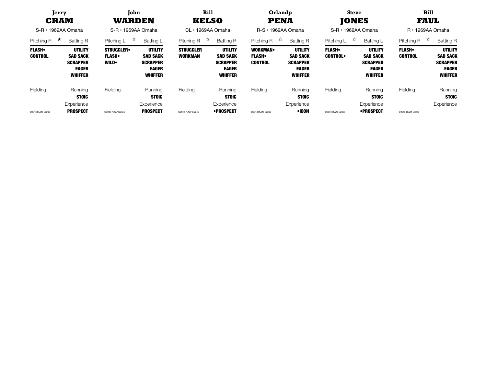|                                | Jerry<br><b>CRAM</b><br>$S-R \cdot 1969AA$ Omaha                                       | John<br>WARDEN<br>$S-R \cdot 1969AA$ Omaha      |                                                                                        | <b>Bill</b><br><b>KELSO</b><br>CL · 1969AA Omaha |                                                                                        | Orlandp<br><b>PENA</b><br>$R-S \cdot 1969AA$ Omaha |                                                                                        | <b>Steve</b><br><b>JONES</b><br>$S-R \cdot 1969AA$ Omaha |                                                                                        | <b>Bill</b><br>FAUL<br>$R \cdot 1969AA$ Omaha |                                                                                        |
|--------------------------------|----------------------------------------------------------------------------------------|-------------------------------------------------|----------------------------------------------------------------------------------------|--------------------------------------------------|----------------------------------------------------------------------------------------|----------------------------------------------------|----------------------------------------------------------------------------------------|----------------------------------------------------------|----------------------------------------------------------------------------------------|-----------------------------------------------|----------------------------------------------------------------------------------------|
| $\star$<br>Pitching R          | <b>Batting R</b>                                                                       | ☆<br>Pitching L                                 | Batting L                                                                              | ☆<br>Pitching R                                  | <b>Batting R</b>                                                                       | ಸ<br>Pitching R                                    | <b>Batting R</b>                                                                       | ☆<br>Pitching L                                          | <b>Batting L</b>                                                                       | ☆<br>Pitching R                               | <b>Batting R</b>                                                                       |
| <b>FLASH</b><br><b>CONTROL</b> | <b>UTILITY</b><br><b>SAD SACK</b><br><b>SCRAPPER</b><br><b>EAGER</b><br><b>WHIFFER</b> | <b>STRUGGLER</b><br><b>FLASH</b><br><b>WILD</b> | <b>UTILITY</b><br><b>SAD SACK</b><br><b>SCRAPPER</b><br><b>EAGER</b><br><b>WHIFFER</b> | <b>STRUGGLER</b><br><b>WORKMAN</b>               | <b>UTILITY</b><br><b>SAD SACK</b><br><b>SCRAPPER</b><br><b>EAGER</b><br><b>WHIFFER</b> | <b>WORKMAN</b><br><b>FLASH</b><br><b>CONTROL</b>   | <b>UTILITY</b><br><b>SAD SACK</b><br><b>SCRAPPER</b><br><b>EAGER</b><br><b>WHIFFER</b> | <b>FLASH</b><br><b>CONTROL</b>                           | <b>UTILITY</b><br><b>SAD SACK</b><br><b>SCRAPPER</b><br><b>EAGER</b><br><b>WHIFFER</b> | <b>FLASH</b><br><b>CONTROL</b>                | <b>UTILITY</b><br><b>SAD SACK</b><br><b>SCRAPPER</b><br><b>EAGER</b><br><b>WHIFFER</b> |
| Fielding                       | Running<br><b>STOIC</b>                                                                | Fielding                                        | Running<br><b>STOIC</b>                                                                | Fielding                                         | Running<br><b>STOIC</b>                                                                | Fielding                                           | Running<br><b>STOIC</b>                                                                | Fielding                                                 | Running<br><b>STOIC</b>                                                                | Fielding                                      | Running<br><b>STOIC</b>                                                                |
| ©2013 PLAAY Games              | Experience<br><b>PROSPECT</b>                                                          | @2013 PLAAY Games                               | Experience<br><b>PROSPECT</b>                                                          | @2013 PLAAY Games                                | Experience<br>•PROSPECT                                                                | @2013 PLAAY Games                                  | Experience<br>•ICON                                                                    | @2013 PLAAY Games                                        | Experience<br>•PROSPECT                                                                | @2013 PLAAY Games                             | Experience                                                                             |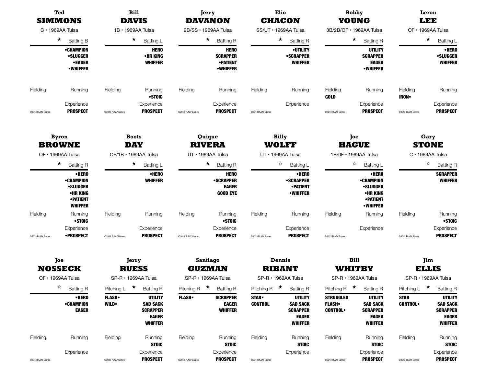|                   | Ted<br><b>SIMMONS</b><br>$C \cdot 1969A$ A Tulsa<br>★<br><b>Batting B</b>                      |                             | <b>Bill</b><br><b>DAVIS</b>                                                            | <b>DAVANON</b>            | Jerry                                                                | <b>CHACON</b>                 | <b>Elio</b>                                                                            |                                                                                                                      | <b>Bobby</b><br><b>YOUNG</b>                                                                    |                               | Leron<br><b>LEE</b>                                                                    |
|-------------------|------------------------------------------------------------------------------------------------|-----------------------------|----------------------------------------------------------------------------------------|---------------------------|----------------------------------------------------------------------|-------------------------------|----------------------------------------------------------------------------------------|----------------------------------------------------------------------------------------------------------------------|-------------------------------------------------------------------------------------------------|-------------------------------|----------------------------------------------------------------------------------------|
|                   |                                                                                                |                             | 1B · 1969AA Tulsa                                                                      | 2B/SS · 1969AA Tulsa      |                                                                      |                               | SS/UT · 1969AA Tulsa                                                                   |                                                                                                                      | 3B/2B/OF • 1969AA Tulsa                                                                         |                               | OF · 1969AA Tulsa                                                                      |
|                   |                                                                                                |                             | $\star$<br>Batting L                                                                   |                           | $\star$<br><b>Batting R</b>                                          |                               | $\star$<br><b>Batting R</b>                                                            |                                                                                                                      | $\star$<br><b>Batting R</b>                                                                     |                               | $\star$<br>Batting L                                                                   |
|                   | •CHAMPION<br><b>•SLUGGER</b><br>•EAGER<br><b>•WHIFFER</b>                                      |                             | <b>HERO</b><br>•HR KING<br><b>WHIFFER</b>                                              |                           | <b>HERO</b><br><b>SCRAPPER</b><br><b>•PATIENT</b><br><b>•WHIFFER</b> |                               | <b>•UTILITY</b><br><b>•SCRAPPER</b><br><b>WHIFFER</b>                                  | <b>UTILITY</b><br><b>SCRAPPER</b><br><b>EAGER</b><br><b>•WHIFFER</b><br>Fielding<br><b>GOLD</b><br>@2013 PLAAY Games |                                                                                                 |                               | •HERO<br><b>•SLUGGER</b><br><b>WHIFFER</b>                                             |
| Fielding          | Running                                                                                        | Fielding                    | Running<br>•STOIC                                                                      | Fielding                  | Running                                                              | Fielding                      | Running                                                                                |                                                                                                                      | Running                                                                                         | Fielding<br><b>IRON</b>       | Running                                                                                |
| @2013 PLAAY Games | Experience<br><b>PROSPECT</b>                                                                  | @2013 PLAAY Games           | Experience<br><b>PROSPECT</b>                                                          | @2013 PLAAY Games         | Experience<br><b>PROSPECT</b>                                        | @2013 PLAAY Games             | Experience                                                                             |                                                                                                                      | Experience<br><b>PROSPECT</b>                                                                   | @2013 PLAAY Games             | Experience<br><b>PROSPECT</b>                                                          |
|                   | <b>Byron</b><br><b>BROWNE</b>                                                                  |                             | <b>Boots</b><br><b>DAY</b>                                                             |                           | Quique<br><b>RIVERA</b>                                              | <b>Billy</b>                  | <b>WOLFF</b>                                                                           |                                                                                                                      | Joe<br><b>HAGUE</b>                                                                             |                               | Gary<br><b>STONE</b>                                                                   |
|                   | OF · 1969AA Tulsa                                                                              | OF/1B · 1969AA Tulsa        |                                                                                        |                           | UT · 1969AA Tulsa                                                    |                               | UT · 1969AA Tulsa                                                                      |                                                                                                                      | 1B/0F · 1969AA Tulsa                                                                            |                               | C · 1969AA Tulsa                                                                       |
|                   | $\star$<br><b>Batting R</b>                                                                    |                             | $\star$<br>Batting L                                                                   |                           | $\star$<br><b>Batting R</b>                                          |                               | ☆<br>Batting L                                                                         |                                                                                                                      | ☆<br>Batting L                                                                                  |                               | ☆<br><b>Batting R</b>                                                                  |
|                   | •HERO<br><b>•CHAMPION</b><br><b>•SLUGGER</b><br>•HR KING<br><b>• PATIENT</b><br><b>WHIFFER</b> |                             | •HERO<br><b>WHIFFER</b>                                                                |                           | <b>HERO</b><br><b>•SCRAPPER</b><br><b>EAGER</b><br><b>GOOD EYE</b>   |                               | •HERO<br><b>•SCRAPPER</b><br><b>•PATIENT</b><br><b>•WHIFFER</b>                        |                                                                                                                      | •HERO<br><b>•CHAMPION</b><br><b>•SLUGGER</b><br>•HR KING<br><b>• PATIENT</b><br><b>•WHIFFER</b> |                               | <b>SCRAPPER</b><br><b>WHIFFER</b>                                                      |
| Fielding          | Running<br>•STOIC                                                                              | Fielding                    | Running                                                                                | Fielding                  | Running<br>•STOIC                                                    | Fielding                      | Running                                                                                | Fielding                                                                                                             | Running                                                                                         | Fielding                      | Running<br>•STOIC                                                                      |
| @2013 PLAAY Games | Experience<br>•PROSPECT                                                                        | @2013 PLAAY Games           | Experience<br><b>PROSPECT</b>                                                          | @2013 PLAAY Games         | Experience<br><b>PROSPECT</b>                                        | @2013 PLAAY Games             | Experience<br><b>PROSPECT</b>                                                          | @2013 PLAAY Games                                                                                                    | Experience                                                                                      | @2013 PLAAY Games             | Experience<br><b>PROSPECT</b>                                                          |
|                   | Joe<br><b>NOSSECK</b>                                                                          |                             | Jerry<br><b>RUESS</b>                                                                  | Santiago<br><b>GUZMAN</b> |                                                                      |                               | Dennis<br><b>RIBANT</b>                                                                |                                                                                                                      | <b>Bill</b><br>WHITBY                                                                           |                               | Jim<br><b>ELLIS</b>                                                                    |
|                   | OF · 1969AA Tulsa                                                                              |                             | SP-R · 1969AA Tulsa                                                                    |                           | SP-R · 1969AA Tulsa                                                  |                               | SP-R · 1969AA Tulsa                                                                    |                                                                                                                      | SP-R · 1969AA Tulsa                                                                             |                               | SP-R · 1969AA Tulsa                                                                    |
|                   | ☆<br><b>Batting R</b>                                                                          | Pitching L                  | $\star$<br><b>Batting R</b>                                                            | Pitching R                | $\star$<br><b>Batting R</b>                                          | Pitching R $\star$            | <b>Batting R</b>                                                                       | Pitching R $\star$                                                                                                   | <b>Batting R</b>                                                                                | Pitching $L \star$            | <b>Batting R</b>                                                                       |
|                   | •HERO<br><b>•CHAMPION</b><br><b>EAGER</b>                                                      | <b>FLASH</b><br><b>WILD</b> | <b>UTILITY</b><br><b>SAD SACK</b><br><b>SCRAPPER</b><br><b>EAGER</b><br><b>WHIFFER</b> | <b>FLASH</b>              | <b>SCRAPPER</b><br><b>EAGER</b><br><b>WHIFFER</b>                    | <b>STAR</b><br><b>CONTROL</b> | <b>UTILITY</b><br><b>SAD SACK</b><br><b>SCRAPPER</b><br><b>EAGER</b><br><b>WHIFFER</b> | <b>STRUGGLER</b><br><b>FLASH</b><br><b>CONTROL</b>                                                                   | <b>UTILITY</b><br><b>SAD SACK</b><br><b>SCRAPPER</b><br><b>EAGER</b><br><b>WHIFFER</b>          | <b>STAR</b><br><b>CONTROL</b> | <b>UTILITY</b><br><b>SAD SACK</b><br><b>SCRAPPER</b><br><b>EAGER</b><br><b>WHIFFER</b> |
| Fielding          | Running                                                                                        | Fielding                    | Running<br><b>STOIC</b>                                                                | Fielding                  | Running<br><b>STOIC</b>                                              | Fielding                      | Running<br><b>STOIC</b>                                                                | Fielding                                                                                                             | Running<br><b>STOIC</b>                                                                         | Fielding                      | Running<br><b>STOIC</b>                                                                |

Experience Experience Experience Experience Experience Experience

©2013 PLAY Games ©2013 PLAAY Games PROSPECT ©2013 PLAY Games PROSPECT ©2013 PLAY Games ©2013 PLAY Games PROSPECT ©2013 PLAY Games PROSPECT ©2013 PLAY Games PROSPECT ©2013 PLAY Games PROSPECT ©2013 PLAY Games PROSPECT ©2013